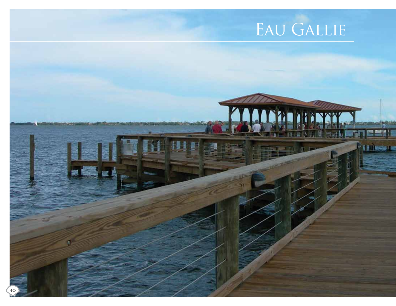# EAU GALLIE

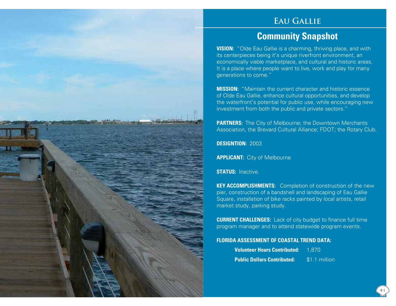#### **Eau Gallie**

### **Community Snapshot**

**VISION:** "Olde Eau Gallie is a charming, thriving place, and with its centerpieces being it's unique riverfront environment, an economically viable marketplace, and cultural and historic areas. It is a place where people want to live, work and play for many generations to come."

**MISSION:** "Maintain the current character and historic essence of Olde Eau Gallie, enhance cultural opportunities, and develop the waterfront's potential for public use, while encouraging new investment from both the public and private sectors."

**PARTNERS:** The City of Melbourne; the Downtown Merchants Association, the Brevard Cultural Alliance; FDOT; the Rotary Club.

**DESIGNTION:** 2003

**APPLICANT:** City of Melbourne

**STATUS:** Inactive.

**KEY ACCOMPLISHMENTS:** Completion of construction of the new pier, construction of a bandshell and landscaping of Eau Gallie Square, installation of bike racks painted by local artists, retail market study, parking study.

**CURRENT CHALLENGES:** Lack of city budget to finance full time program manager and to attend statewide program events.

#### **FLORIDA ASSESSMENT OF COASTAL TREND DATA:**

| <b>Volunteer Hours Contributed:</b> | 1.870         |
|-------------------------------------|---------------|
| <b>Public Dollars Contributed:</b>  | \$1.1 million |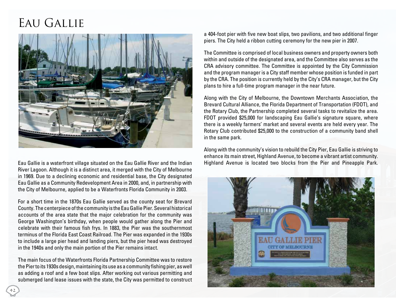## EAU GALLIE



Eau Gallie is a waterfront village situated on the Eau Gallie River and the Indian River Lagoon. Although it is a distinct area, it merged with the City of Melbourne in 1969. Due to a declining economic and residential base, the City designated Eau Gallie as a Community Redevelopment Area in 2000, and, in partnership with the City of Melbourne, applied to be a Waterfronts Florida Community in 2003.

For a short time in the 1870s Eau Gallie served as the county seat for Brevard County. The centerpiece of the community is the Eau Gallie Pier. Several historical accounts of the area state that the major celebration for the community was George Washington's birthday, when people would gather along the Pier and celebrate with their famous fish frys. In 1883, the Pier was the southernmost terminus of the Florida East Coast Railroad. The Pier was expanded in the 1930s to include a large pier head and landing piers, but the pier head was destroyed in the 1940s and only the main portion of the Pier remains intact.

The main focus of the Waterfronts Florida Partnership Committee was to restore the Pier to its 1930s design, maintaining its use as a community fishing pier, as well as adding a roof and a few boat slips. After working out various permitting and submerged land lease issues with the state, the City was permitted to construct a 404-foot pier with five new boat slips, two pavilions, and two additional finger piers. The City held a ribbon cutting ceremony for the new pier in 2007.

The Committee is comprised of local business owners and property owners both within and outside of the designated area, and the Committee also serves as the CRA advisory committee. The Committee is appointed by the City Commission and the program manager is a City staff member whose position is funded in part by the CRA. The position is currently held by the City's CRA manager, but the City plans to hire a full-time program manager in the near future.

Along with the City of Melbourne, the Downtown Merchants Association, the Brevard Cultural Alliance, the Florida Department of Transportation (FDOT), and the Rotary Club, the Partnership completed several tasks to revitalize the area. FDOT provided \$25,000 for landscaping Eau Gallie's signature square, where there is a weekly farmers' market and several events are held every year. The Rotary Club contributed \$25,000 to the construction of a community band shell in the same park.

Along with the community's vision to rebuild the City Pier, Eau Gallie is striving to enhance its main street, Highland Avenue, to become a vibrant artist community. Highland Avenue is located two blocks from the Pier and Pineapple Park.



42